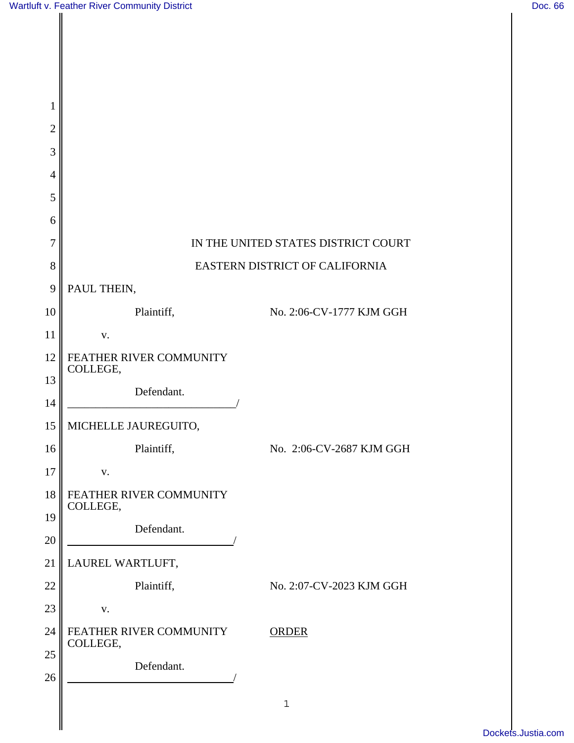| 1              |                                     |                                |
|----------------|-------------------------------------|--------------------------------|
| $\overline{2}$ |                                     |                                |
| 3              |                                     |                                |
| $\overline{4}$ |                                     |                                |
| 5              |                                     |                                |
| 6              |                                     |                                |
| $\overline{7}$ | IN THE UNITED STATES DISTRICT COURT |                                |
| 8              |                                     | EASTERN DISTRICT OF CALIFORNIA |
| 9              | PAUL THEIN,                         |                                |
| 10             | Plaintiff,                          | No. 2:06-CV-1777 KJM GGH       |
| 11             | ${\bf V}$ .                         |                                |
| 12             | FEATHER RIVER COMMUNITY<br>COLLEGE, |                                |
| 13             | Defendant.                          |                                |
| 14             |                                     |                                |
| 15             | MICHELLE JAUREGUITO,                |                                |
| 16             | Plaintiff,                          | No. 2:06-CV-2687 KJM GGH       |
| 17             | ${\bf V}$ .                         |                                |
| 18             | FEATHER RIVER COMMUNITY<br>COLLEGE, |                                |
| 19             | Defendant.                          |                                |
| 20             |                                     |                                |
| 21             | LAUREL WARTLUFT,                    |                                |
| 22             | Plaintiff,                          | No. 2:07-CV-2023 KJM GGH       |
| 23             | ${\bf V}$ .                         |                                |
| 24             | FEATHER RIVER COMMUNITY<br>COLLEGE, | <b>ORDER</b>                   |
| 25             | Defendant.                          |                                |
| 26             |                                     |                                |
|                |                                     | $1\,$                          |
|                |                                     |                                |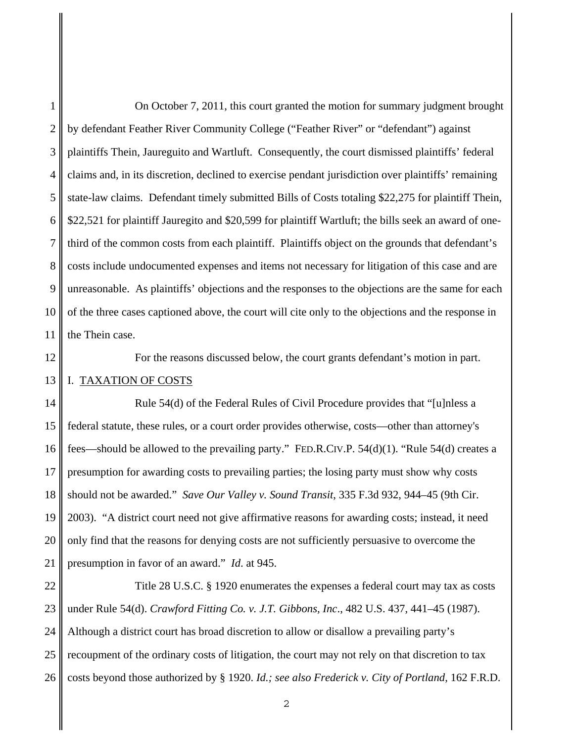1 2 3 4 5 6 7 8 9 10 11 On October 7, 2011, this court granted the motion for summary judgment brought by defendant Feather River Community College ("Feather River" or "defendant") against plaintiffs Thein, Jaureguito and Wartluft. Consequently, the court dismissed plaintiffs' federal claims and, in its discretion, declined to exercise pendant jurisdiction over plaintiffs' remaining state-law claims. Defendant timely submitted Bills of Costs totaling \$22,275 for plaintiff Thein, \$22,521 for plaintiff Jauregito and \$20,599 for plaintiff Wartluft; the bills seek an award of onethird of the common costs from each plaintiff. Plaintiffs object on the grounds that defendant's costs include undocumented expenses and items not necessary for litigation of this case and are unreasonable. As plaintiffs' objections and the responses to the objections are the same for each of the three cases captioned above, the court will cite only to the objections and the response in the Thein case.

12

For the reasons discussed below, the court grants defendant's motion in part.

## 13 I. TAXATION OF COSTS

14 15 16 17 18 19 20 21 Rule 54(d) of the Federal Rules of Civil Procedure provides that "[u]nless a federal statute, these rules, or a court order provides otherwise, costs—other than attorney's fees—should be allowed to the prevailing party." FED.R.CIV.P. 54(d)(1). "Rule 54(d) creates a presumption for awarding costs to prevailing parties; the losing party must show why costs should not be awarded." *Save Our Valley v. Sound Transit*, 335 F.3d 932, 944–45 (9th Cir. 2003). "A district court need not give affirmative reasons for awarding costs; instead, it need only find that the reasons for denying costs are not sufficiently persuasive to overcome the presumption in favor of an award." *Id*. at 945.

22 23 24 25 26 Title 28 U.S.C. § 1920 enumerates the expenses a federal court may tax as costs under Rule 54(d). *Crawford Fitting Co. v. J.T. Gibbons, Inc*., 482 U.S. 437, 441–45 (1987). Although a district court has broad discretion to allow or disallow a prevailing party's recoupment of the ordinary costs of litigation, the court may not rely on that discretion to tax costs beyond those authorized by § 1920. *Id.; see also Frederick v. City of Portland*, 162 F.R.D.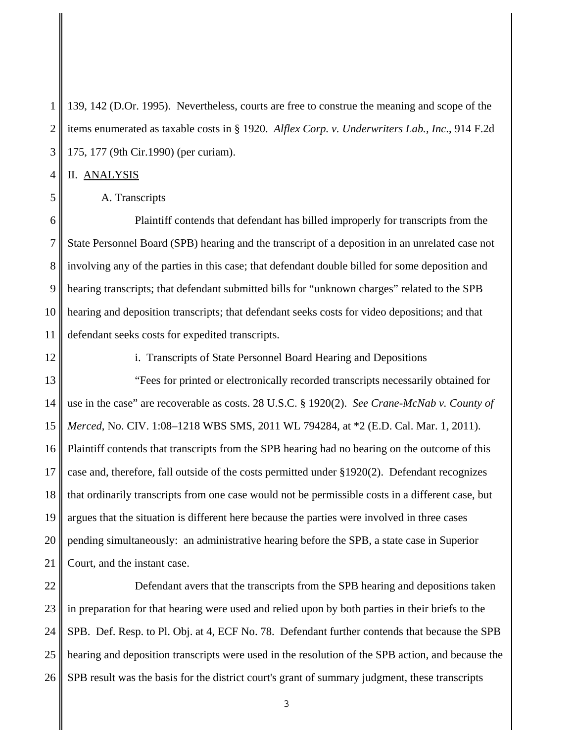1 2 3 139, 142 (D.Or. 1995). Nevertheless, courts are free to construe the meaning and scope of the items enumerated as taxable costs in § 1920. *Alflex Corp. v. Underwriters Lab., Inc*., 914 F.2d 175, 177 (9th Cir.1990) (per curiam).

II. ANALYSIS

A. Transcripts

6 7 8 9 10 11 Plaintiff contends that defendant has billed improperly for transcripts from the State Personnel Board (SPB) hearing and the transcript of a deposition in an unrelated case not involving any of the parties in this case; that defendant double billed for some deposition and hearing transcripts; that defendant submitted bills for "unknown charges" related to the SPB hearing and deposition transcripts; that defendant seeks costs for video depositions; and that defendant seeks costs for expedited transcripts.

12

4

5

i. Transcripts of State Personnel Board Hearing and Depositions

13 14 15 16 17 18 19 20 21 "Fees for printed or electronically recorded transcripts necessarily obtained for use in the case" are recoverable as costs. 28 U.S.C. § 1920(2). *See Crane-McNab v. County of Merced*, No. CIV. 1:08–1218 WBS SMS, 2011 WL 794284, at \*2 (E.D. Cal. Mar. 1, 2011). Plaintiff contends that transcripts from the SPB hearing had no bearing on the outcome of this case and, therefore, fall outside of the costs permitted under §1920(2). Defendant recognizes that ordinarily transcripts from one case would not be permissible costs in a different case, but argues that the situation is different here because the parties were involved in three cases pending simultaneously: an administrative hearing before the SPB, a state case in Superior Court, and the instant case.

22 23 24 25 26 Defendant avers that the transcripts from the SPB hearing and depositions taken in preparation for that hearing were used and relied upon by both parties in their briefs to the SPB. Def. Resp. to Pl. Obj. at 4, ECF No. 78. Defendant further contends that because the SPB hearing and deposition transcripts were used in the resolution of the SPB action, and because the SPB result was the basis for the district court's grant of summary judgment, these transcripts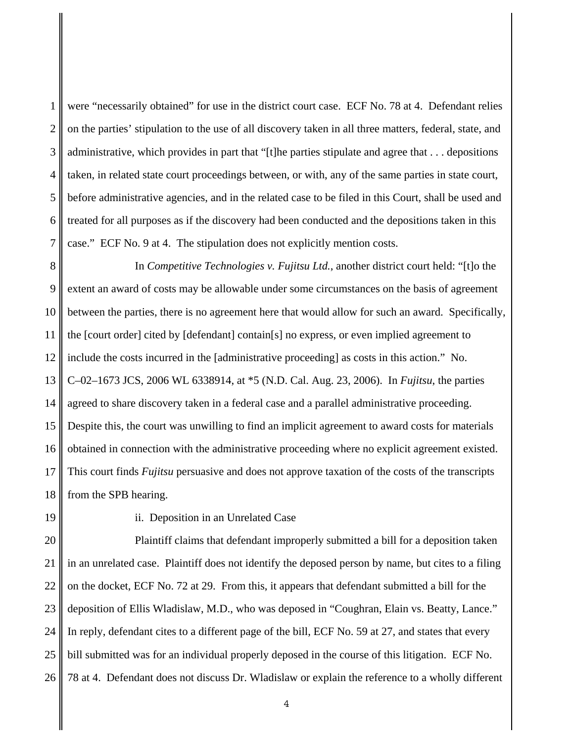1 2 3 4 5 6 7 were "necessarily obtained" for use in the district court case. ECF No. 78 at 4. Defendant relies on the parties' stipulation to the use of all discovery taken in all three matters, federal, state, and administrative, which provides in part that "[t]he parties stipulate and agree that . . . depositions taken, in related state court proceedings between, or with, any of the same parties in state court, before administrative agencies, and in the related case to be filed in this Court, shall be used and treated for all purposes as if the discovery had been conducted and the depositions taken in this case." ECF No. 9 at 4. The stipulation does not explicitly mention costs.

8 9 10 11 12 13 14 15 16 17 18 In *Competitive Technologies v. Fujitsu Ltd.*, another district court held: "[t]o the extent an award of costs may be allowable under some circumstances on the basis of agreement between the parties, there is no agreement here that would allow for such an award. Specifically, the [court order] cited by [defendant] contain[s] no express, or even implied agreement to include the costs incurred in the [administrative proceeding] as costs in this action." No. C–02–1673 JCS, 2006 WL 6338914, at \*5 (N.D. Cal. Aug. 23, 2006). In *Fujitsu*, the parties agreed to share discovery taken in a federal case and a parallel administrative proceeding. Despite this, the court was unwilling to find an implicit agreement to award costs for materials obtained in connection with the administrative proceeding where no explicit agreement existed. This court finds *Fujitsu* persuasive and does not approve taxation of the costs of the transcripts from the SPB hearing.

19

ii. Deposition in an Unrelated Case

20 21 22 23 24 25 26 Plaintiff claims that defendant improperly submitted a bill for a deposition taken in an unrelated case. Plaintiff does not identify the deposed person by name, but cites to a filing on the docket, ECF No. 72 at 29. From this, it appears that defendant submitted a bill for the deposition of Ellis Wladislaw, M.D., who was deposed in "Coughran, Elain vs. Beatty, Lance." In reply, defendant cites to a different page of the bill, ECF No. 59 at 27, and states that every bill submitted was for an individual properly deposed in the course of this litigation. ECF No. 78 at 4. Defendant does not discuss Dr. Wladislaw or explain the reference to a wholly different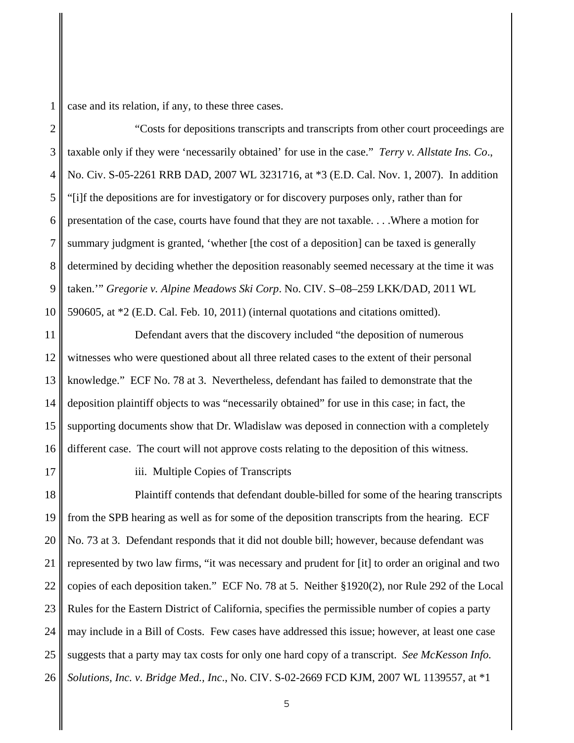case and its relation, if any, to these three cases.

2 3 4 5 6 7 8 9 10 "Costs for depositions transcripts and transcripts from other court proceedings are taxable only if they were 'necessarily obtained' for use in the case." *Terry v. Allstate Ins. Co*., No. Civ. S-05-2261 RRB DAD, 2007 WL 3231716, at \*3 (E.D. Cal. Nov. 1, 2007). In addition "[i]f the depositions are for investigatory or for discovery purposes only, rather than for presentation of the case, courts have found that they are not taxable. . . .Where a motion for summary judgment is granted, 'whether [the cost of a deposition] can be taxed is generally determined by deciding whether the deposition reasonably seemed necessary at the time it was taken.'" *Gregorie v. Alpine Meadows Ski Corp*. No. CIV. S–08–259 LKK/DAD, 2011 WL 590605, at \*2 (E.D. Cal. Feb. 10, 2011) (internal quotations and citations omitted).

11 12 13 14 15 16 Defendant avers that the discovery included "the deposition of numerous witnesses who were questioned about all three related cases to the extent of their personal knowledge." ECF No. 78 at 3. Nevertheless, defendant has failed to demonstrate that the deposition plaintiff objects to was "necessarily obtained" for use in this case; in fact, the supporting documents show that Dr. Wladislaw was deposed in connection with a completely different case. The court will not approve costs relating to the deposition of this witness.

17

iii. Multiple Copies of Transcripts

18 19 20 21 22 23 24 25 26 Plaintiff contends that defendant double-billed for some of the hearing transcripts from the SPB hearing as well as for some of the deposition transcripts from the hearing. ECF No. 73 at 3. Defendant responds that it did not double bill; however, because defendant was represented by two law firms, "it was necessary and prudent for [it] to order an original and two copies of each deposition taken." ECF No. 78 at 5. Neither §1920(2), nor Rule 292 of the Local Rules for the Eastern District of California, specifies the permissible number of copies a party may include in a Bill of Costs. Few cases have addressed this issue; however, at least one case suggests that a party may tax costs for only one hard copy of a transcript. *See McKesson Info. Solutions, Inc. v. Bridge Med., Inc*., No. CIV. S-02-2669 FCD KJM, 2007 WL 1139557, at \*1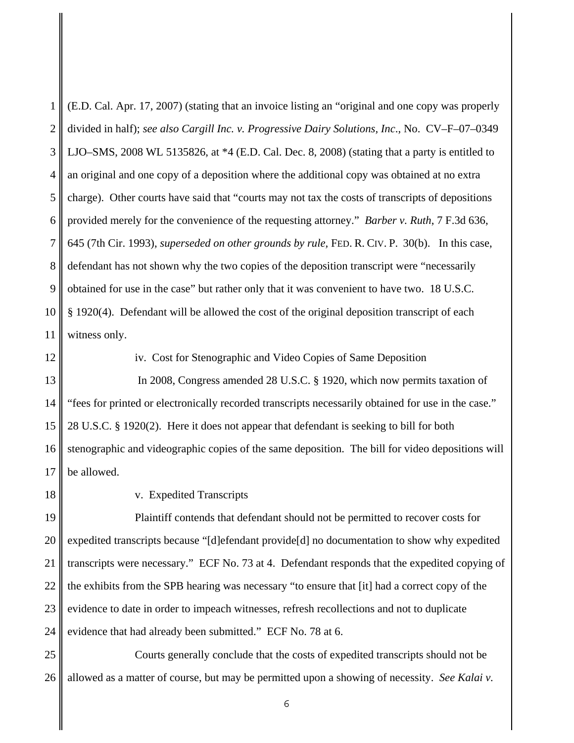1 2 3 4 5 6 7 8 9 10 11 (E.D. Cal. Apr. 17, 2007) (stating that an invoice listing an "original and one copy was properly divided in half); *see also Cargill Inc. v. Progressive Dairy Solutions, Inc*., No. CV–F–07–0349 LJO–SMS, 2008 WL 5135826, at \*4 (E.D. Cal. Dec. 8, 2008) (stating that a party is entitled to an original and one copy of a deposition where the additional copy was obtained at no extra charge). Other courts have said that "courts may not tax the costs of transcripts of depositions provided merely for the convenience of the requesting attorney." *Barber v. Ruth*, 7 F.3d 636, 645 (7th Cir. 1993), *superseded on other grounds by rule,* FED. R. CIV. P. 30(b). In this case, defendant has not shown why the two copies of the deposition transcript were "necessarily obtained for use in the case" but rather only that it was convenient to have two. 18 U.S.C. § 1920(4). Defendant will be allowed the cost of the original deposition transcript of each witness only.

12

iv. Cost for Stenographic and Video Copies of Same Deposition

13 14 15 16 17 In 2008, Congress amended 28 U.S.C. § 1920, which now permits taxation of "fees for printed or electronically recorded transcripts necessarily obtained for use in the case." 28 U.S.C. § 1920(2). Here it does not appear that defendant is seeking to bill for both stenographic and videographic copies of the same deposition. The bill for video depositions will be allowed.

18

v. Expedited Transcripts

19 20 21 22 23 24 Plaintiff contends that defendant should not be permitted to recover costs for expedited transcripts because "[d]efendant provide[d] no documentation to show why expedited transcripts were necessary." ECF No. 73 at 4. Defendant responds that the expedited copying of the exhibits from the SPB hearing was necessary "to ensure that [it] had a correct copy of the evidence to date in order to impeach witnesses, refresh recollections and not to duplicate evidence that had already been submitted." ECF No. 78 at 6.

25 26 Courts generally conclude that the costs of expedited transcripts should not be allowed as a matter of course, but may be permitted upon a showing of necessity. *See Kalai v.*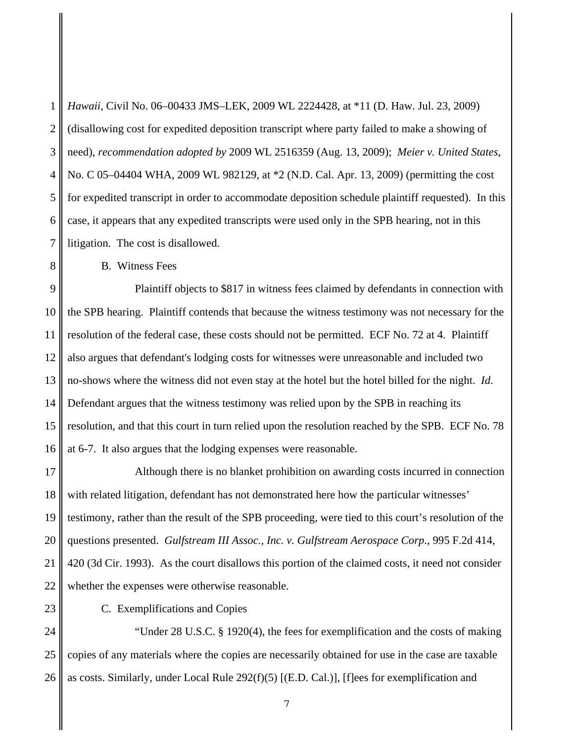1 2 3 4 5 6 7 *Hawaii*, Civil No. 06–00433 JMS–LEK, 2009 WL 2224428, at \*11 (D. Haw. Jul. 23, 2009) (disallowing cost for expedited deposition transcript where party failed to make a showing of need), *recommendation adopted by* 2009 WL 2516359 (Aug. 13, 2009); *Meier v. United States*, No. C 05–04404 WHA, 2009 WL 982129, at \*2 (N.D. Cal. Apr. 13, 2009) (permitting the cost for expedited transcript in order to accommodate deposition schedule plaintiff requested). In this case, it appears that any expedited transcripts were used only in the SPB hearing, not in this litigation. The cost is disallowed.

B. Witness Fees

8

23

9 10 11 12 13 14 15 16 Plaintiff objects to \$817 in witness fees claimed by defendants in connection with the SPB hearing. Plaintiff contends that because the witness testimony was not necessary for the resolution of the federal case, these costs should not be permitted. ECF No. 72 at 4. Plaintiff also argues that defendant's lodging costs for witnesses were unreasonable and included two no-shows where the witness did not even stay at the hotel but the hotel billed for the night. *Id*. Defendant argues that the witness testimony was relied upon by the SPB in reaching its resolution, and that this court in turn relied upon the resolution reached by the SPB. ECF No. 78 at 6-7. It also argues that the lodging expenses were reasonable.

17 18 19 20 21 22 Although there is no blanket prohibition on awarding costs incurred in connection with related litigation, defendant has not demonstrated here how the particular witnesses' testimony, rather than the result of the SPB proceeding, were tied to this court's resolution of the questions presented. *Gulfstream III Assoc., Inc. v. Gulfstream Aerospace Corp*., 995 F.2d 414, 420 (3d Cir. 1993). As the court disallows this portion of the claimed costs, it need not consider whether the expenses were otherwise reasonable.

C. Exemplifications and Copies

24 25 26 "Under 28 U.S.C. § 1920(4), the fees for exemplification and the costs of making copies of any materials where the copies are necessarily obtained for use in the case are taxable as costs. Similarly, under Local Rule 292(f)(5) [(E.D. Cal.)], [f]ees for exemplification and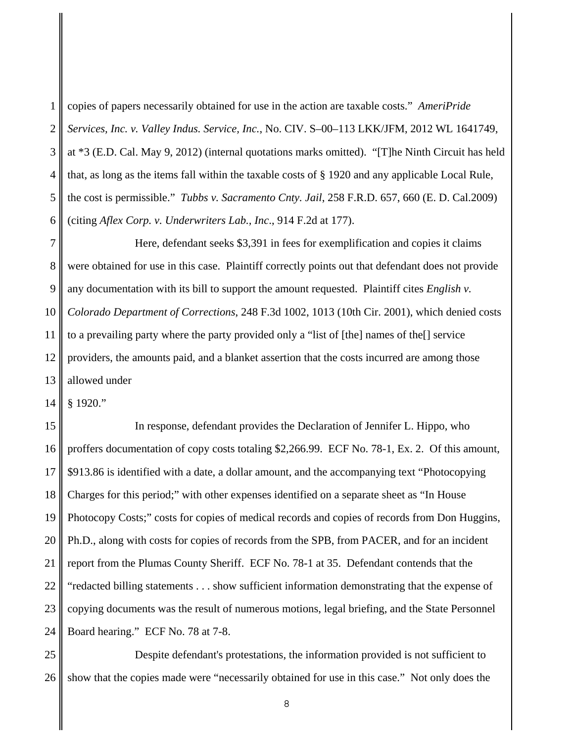1 2 3 4 5 6 copies of papers necessarily obtained for use in the action are taxable costs." *AmeriPride Services, Inc. v. Valley Indus. Service, Inc.*, No. CIV. S–00–113 LKK/JFM, 2012 WL 1641749, at \*3 (E.D. Cal. May 9, 2012) (internal quotations marks omitted). "[T]he Ninth Circuit has held that, as long as the items fall within the taxable costs of § 1920 and any applicable Local Rule, the cost is permissible." *Tubbs v. Sacramento Cnty. Jail*, 258 F.R.D. 657, 660 (E. D. Cal.2009) (citing *Aflex Corp. v. Underwriters Lab., Inc*., 914 F.2d at 177).

7 8 9 10 11 12 13 Here, defendant seeks \$3,391 in fees for exemplification and copies it claims were obtained for use in this case. Plaintiff correctly points out that defendant does not provide any documentation with its bill to support the amount requested. Plaintiff cites *English v. Colorado Department of Corrections*, 248 F.3d 1002, 1013 (10th Cir. 2001), which denied costs to a prevailing party where the party provided only a "list of [the] names of the[] service providers, the amounts paid, and a blanket assertion that the costs incurred are among those allowed under

14 § 1920."

15 16 17 18 19 20 21 22 23 24 In response, defendant provides the Declaration of Jennifer L. Hippo, who proffers documentation of copy costs totaling \$2,266.99. ECF No. 78-1, Ex. 2. Of this amount, \$913.86 is identified with a date, a dollar amount, and the accompanying text "Photocopying Charges for this period;" with other expenses identified on a separate sheet as "In House Photocopy Costs;" costs for copies of medical records and copies of records from Don Huggins, Ph.D., along with costs for copies of records from the SPB, from PACER, and for an incident report from the Plumas County Sheriff. ECF No. 78-1 at 35. Defendant contends that the "redacted billing statements . . . show sufficient information demonstrating that the expense of copying documents was the result of numerous motions, legal briefing, and the State Personnel Board hearing." ECF No. 78 at 7-8.

25 26 Despite defendant's protestations, the information provided is not sufficient to show that the copies made were "necessarily obtained for use in this case." Not only does the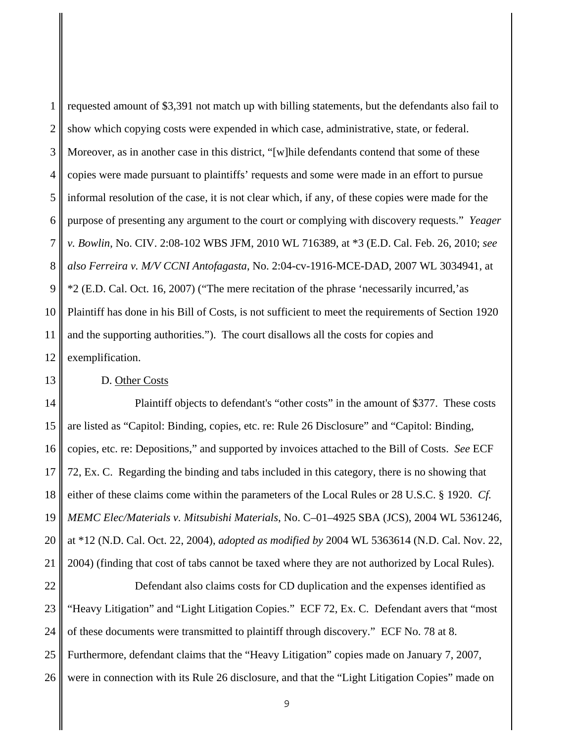1 2 3 4 5 6 7 8 9 10 11 12 requested amount of \$3,391 not match up with billing statements, but the defendants also fail to show which copying costs were expended in which case, administrative, state, or federal. Moreover, as in another case in this district, "[w]hile defendants contend that some of these copies were made pursuant to plaintiffs' requests and some were made in an effort to pursue informal resolution of the case, it is not clear which, if any, of these copies were made for the purpose of presenting any argument to the court or complying with discovery requests." *Yeager v. Bowlin*, No. CIV. 2:08-102 WBS JFM, 2010 WL 716389, at \*3 (E.D. Cal. Feb. 26, 2010; *see also Ferreira v. M/V CCNI Antofagasta*, No. 2:04-cv-1916-MCE-DAD, 2007 WL 3034941, at \*2 (E.D. Cal. Oct. 16, 2007) ("The mere recitation of the phrase 'necessarily incurred,'as Plaintiff has done in his Bill of Costs, is not sufficient to meet the requirements of Section 1920 and the supporting authorities."). The court disallows all the costs for copies and exemplification.

D. Other Costs

13

14 15 16 17 18 19 20 21 Plaintiff objects to defendant's "other costs" in the amount of \$377. These costs are listed as "Capitol: Binding, copies, etc. re: Rule 26 Disclosure" and "Capitol: Binding, copies, etc. re: Depositions," and supported by invoices attached to the Bill of Costs. *See* ECF 72, Ex. C. Regarding the binding and tabs included in this category, there is no showing that either of these claims come within the parameters of the Local Rules or 28 U.S.C. § 1920. *Cf. MEMC Elec/Materials v. Mitsubishi Materials*, No. C–01–4925 SBA (JCS), 2004 WL 5361246, at \*12 (N.D. Cal. Oct. 22, 2004), *adopted as modified by* 2004 WL 5363614 (N.D. Cal. Nov. 22, 2004) (finding that cost of tabs cannot be taxed where they are not authorized by Local Rules).

22 23 24 25 26 Defendant also claims costs for CD duplication and the expenses identified as "Heavy Litigation" and "Light Litigation Copies." ECF 72, Ex. C. Defendant avers that "most of these documents were transmitted to plaintiff through discovery." ECF No. 78 at 8. Furthermore, defendant claims that the "Heavy Litigation" copies made on January 7, 2007, were in connection with its Rule 26 disclosure, and that the "Light Litigation Copies" made on